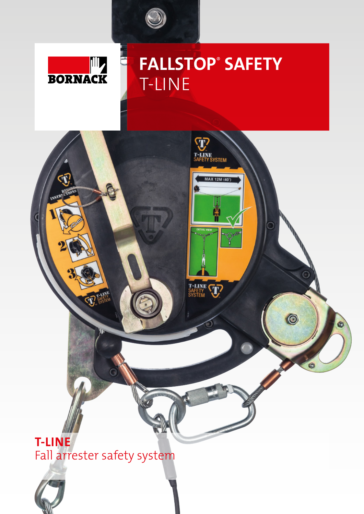

C



# **FALLSTOP**®  **SAFETY** T-LINE



Fall arrester safety system

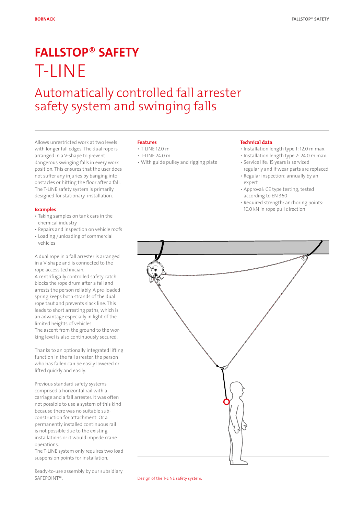## **FALLSTOP**® SAFETY T-LINE

### Automatically controlled fall arrester safety system and swinging falls

Allows unrestricted work at two levels with longer fall edges. The dual rope is arranged in a V-shape to prevent dangerous swinging falls in every work position. This ensures that the user does not suffer any injuries by banging into obstacles or hitting the floor after a fall. The T-LINE safety system is primarily designed for stationary installation.

#### **Features**

- T-LINE 12.0 m
- T-LINE 24.0 m
- With guide pulley and rigging plate

#### **Technical data**

- Installation length type 1: 12.0 m max.
- Installation length type 2: 24.0 m max. • Service life: 15 years is serviced
- regularly and if wear parts are replaced • Regular inspection: annually by an
- expert • Approval: CE type testing, tested
- according to EN 360
- Required strength: anchoring points: 10.0 kN in rope pull direction

#### **Examples**

- Taking samples on tank cars in the chemical industry
- Repairs and inspection on vehicle roofs
- Loading /unloading of commercial vehicles

A dual rope in a fall arrester is arranged in a V-shape and is connected to the rope access technician.

A centrifugally controlled safety catch blocks the rope drum after a fall and arrests the person reliably. A pre-loaded spring keeps both strands of the dual rope taut and prevents slack line. This leads to short arresting paths, which is an advantage especially in light of the limited heights of vehicles. The ascent from the ground to the working level is also continuously secured.

Thanks to an optionally integrated lifting function in the fall arrester, the person who has fallen can be easily lowered or lifted quickly and easily.

Previous standard safety systems comprised a horizontal rail with a carriage and a fall arrester. It was often not possible to use a system of this kind because there was no suitable subconstruction for attachment. Or a permanently installed continuous rail is not possible due to the existing installations or it would impede crane operations.

The T-LINE system only requires two load suspension points for installation.

Ready-to-use assembly by our subsidiary SAFEPOINT®.



Design of the T-LINE safety system.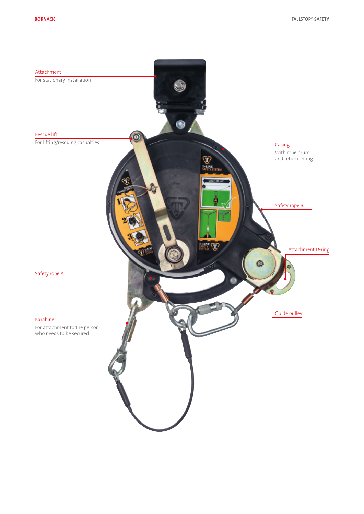